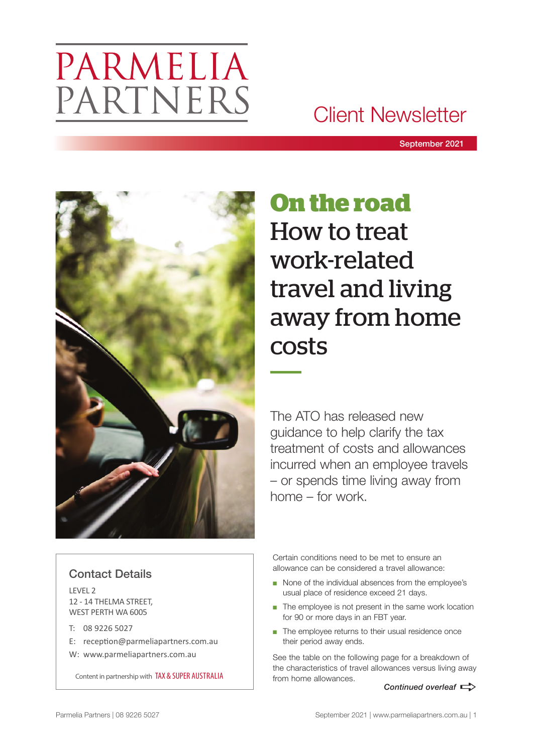# PARMELIA PARTNERS

### Client Newsletter

September 2021



# **On the road** How to treat work-related travel and living away from home costs

The ATO has released new guidance to help clarify the tax treatment of costs and allowances incurred when an employee travels – or spends time living away from home – for work.

#### Contact Details

LEVEL 2 12 - 14 THELMA STREET, WEST PERTH WA 6005

- T: 08 9226 5027
- E: reception@parmeliapartners.com.au
- W: www.parmeliapartners.com.au

Content in partnership with TAX & SUPER AUSTRALIA

Certain conditions need to be met to ensure an allowance can be considered a travel allowance:

- None of the individual absences from the employee's usual place of residence exceed 21 days.
- The employee is not present in the same work location for 90 or more days in an FBT year.
- The employee returns to their usual residence once their period away ends.

See the table on the following page for a breakdown of the characteristics of travel allowances versus living away from home allowances.

*Continued overleaf*  $\Rightarrow$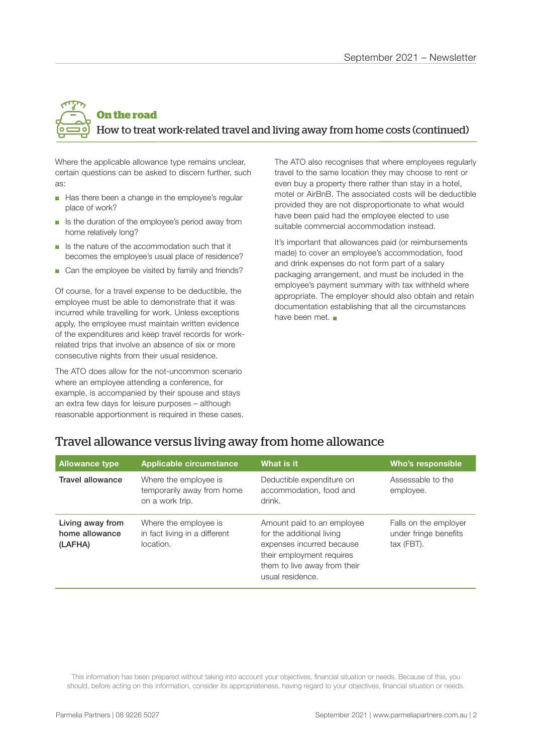### **On the road** How to treat work-related travel and living away from home costs (continued)

Where the applicable allowance type remains unclear, certain questions can be asked to discern further, such as:

- Has there been a change in the employee's regular place of work?
- Is the duration of the employee's period away from home relatively long?
- Is the nature of the accommodation such that it becomes the employee's usual place of residence?
- Can the employee be visited by family and friends?

Of course, for a travel expense to be deductible, the employee must be able to demonstrate that it was incurred while travelling for work. Unless exceptions apply, the employee must maintain written evidence of the expenditures and keep travel records for workrelated trips that involve an absence of six or more consecutive nights from their usual residence.

The ATO does allow for the not-uncommon scenario where an employee attending a conference, for example, is accompanied by their spouse and stays an extra few days for leisure purposes – although reasonable apportionment is required in these cases. The ATO also recognises that where employees regularly travel to the same location they may choose to rent or even buy a property there rather than stay in a hotel, motel or AirBnB. The associated costs will be deductible provided they are not disproportionate to what would have been paid had the employee elected to use suitable commercial accommodation instead.

It's important that allowances paid (or reimbursements made) to cover an employee's accommodation, food and drink expenses do not form part of a salary packaging arrangement, and must be included in the employee's payment summary with tax withheld where appropriate. The employer should also obtain and retain documentation establishing that all the circumstances have been met.  $\blacksquare$ 

| <b>Allowance type</b>                         | Applicable circumstance                                                | What is it                                                                           | Who's responsible                                            |
|-----------------------------------------------|------------------------------------------------------------------------|--------------------------------------------------------------------------------------|--------------------------------------------------------------|
| <b>Travel allowance</b>                       | Where the employee is<br>temporarily away from home<br>on a work trip. | Deductible expenditure on<br>accommodation, food and<br>drink.                       | Assessable to the<br>employee.                               |
| Living away from<br>home allowance<br>(LAFHA) | Where the employee is<br>in fact living in a different<br>location.    | Amount paid to an employee<br>for the additional living<br>expenses incurred because | Falls on the employer<br>under fringe benefits<br>tax (FBT). |

their employment requires them to live away from their

usual residence.

#### Travel allowance versus living away from home allowance

This information has been prepared without taking into account your objectives, financial situation or needs. Because of this, you should, before acting on this information, consider its appropriateness, having regard to your objectives, financial situation or needs.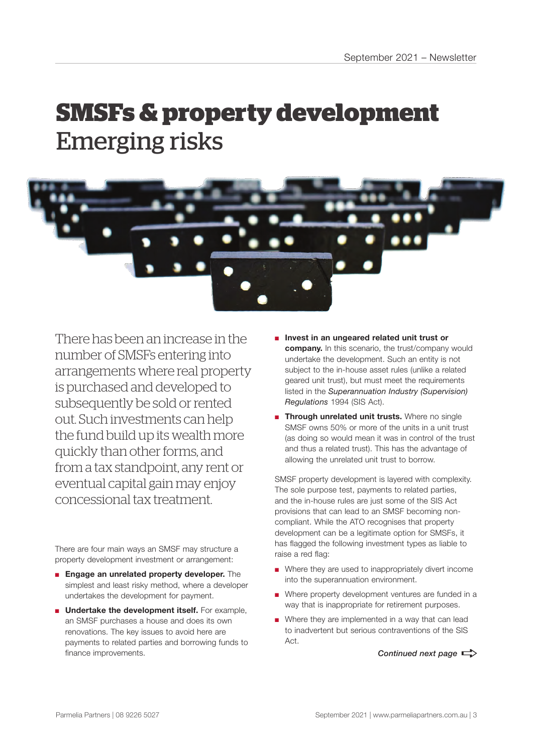## **SMSFs & property development** Emerging risks



There has been an increase in the number of SMSFs entering into arrangements where real property is purchased and developed to subsequently be sold or rented out. Such investments can help the fund build up its wealth more quickly than other forms, and from a tax standpoint, any rent or eventual capital gain may enjoy concessional tax treatment.

There are four main ways an SMSF may structure a property development investment or arrangement:

- **Engage an unrelated property developer.** The simplest and least risky method, where a developer undertakes the development for payment.
- **Undertake the development itself.** For example, an SMSF purchases a house and does its own renovations. The key issues to avoid here are payments to related parties and borrowing funds to finance improvements.
- **Invest in an ungeared related unit trust or company.** In this scenario, the trust/company would undertake the development. Such an entity is not subject to the in-house asset rules (unlike a related geared unit trust), but must meet the requirements listed in the *Superannuation Industry (Supervision) Regulations* 1994 (SIS Act).
- **E Through unrelated unit trusts.** Where no single SMSF owns 50% or more of the units in a unit trust (as doing so would mean it was in control of the trust and thus a related trust). This has the advantage of allowing the unrelated unit trust to borrow.

SMSF property development is layered with complexity. The sole purpose test, payments to related parties, and the in-house rules are just some of the SIS Act provisions that can lead to an SMSF becoming noncompliant. While the ATO recognises that property development can be a legitimate option for SMSFs, it has flagged the following investment types as liable to raise a red flag:

- Where they are used to inappropriately divert income into the superannuation environment.
- Where property development ventures are funded in a way that is inappropriate for retirement purposes.
- Where they are implemented in a way that can lead to inadvertent but serious contraventions of the SIS Act.

*Continued next page*  $\Rightarrow$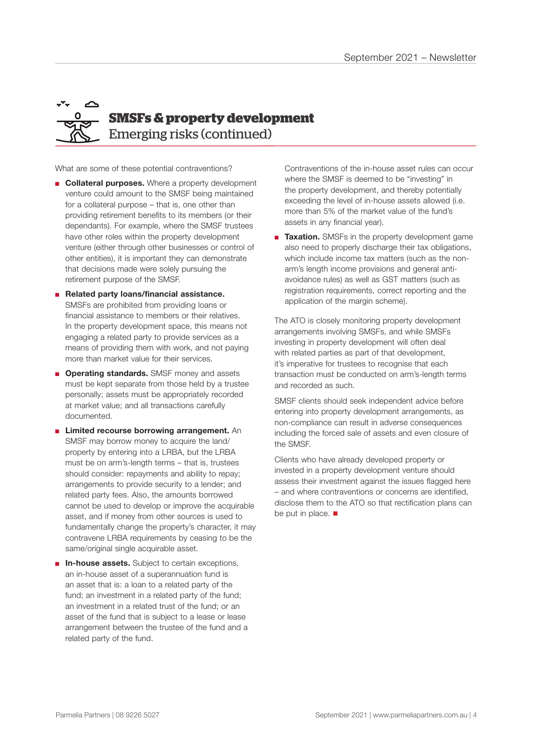### $\triangle$ **SMSFs & property development** Emerging risks (continued)

What are some of these potential contraventions?

- **Collateral purposes.** Where a property development venture could amount to the SMSF being maintained for a collateral purpose – that is, one other than providing retirement benefits to its members (or their dependants). For example, where the SMSF trustees have other roles within the property development venture (either through other businesses or control of other entities), it is important they can demonstrate that decisions made were solely pursuing the retirement purpose of the SMSF.
- **Related party loans/financial assistance.** SMSFs are prohibited from providing loans or financial assistance to members or their relatives. In the property development space, this means not engaging a related party to provide services as a means of providing them with work, and not paying more than market value for their services.
- **Operating standards.** SMSF money and assets must be kept separate from those held by a trustee personally; assets must be appropriately recorded at market value; and all transactions carefully documented.
- **Limited recourse borrowing arrangement.** An SMSF may borrow money to acquire the land/ property by entering into a LRBA, but the LRBA must be on arm's-length terms – that is, trustees should consider: repayments and ability to repay; arrangements to provide security to a lender; and related party fees. Also, the amounts borrowed cannot be used to develop or improve the acquirable asset, and if money from other sources is used to fundamentally change the property's character, it may contravene LRBA requirements by ceasing to be the same/original single acquirable asset.
- **In-house assets.** Subject to certain exceptions, an in-house asset of a superannuation fund is an asset that is: a loan to a related party of the fund; an investment in a related party of the fund; an investment in a related trust of the fund; or an asset of the fund that is subject to a lease or lease arrangement between the trustee of the fund and a related party of the fund.

Contraventions of the in-house asset rules can occur where the SMSF is deemed to be "investing" in the property development, and thereby potentially exceeding the level of in-house assets allowed (i.e. more than 5% of the market value of the fund's assets in any financial year).

■ **Taxation.** SMSFs in the property development game also need to properly discharge their tax obligations, which include income tax matters (such as the nonarm's length income provisions and general antiavoidance rules) as well as GST matters (such as registration requirements, correct reporting and the application of the margin scheme).

The ATO is closely monitoring property development arrangements involving SMSFs, and while SMSFs investing in property development will often deal with related parties as part of that development, it's imperative for trustees to recognise that each transaction must be conducted on arm's-length terms and recorded as such.

SMSF clients should seek independent advice before entering into property development arrangements, as non-compliance can result in adverse consequences including the forced sale of assets and even closure of the SMSF.

Clients who have already developed property or invested in a property development venture should assess their investment against the issues flagged here – and where contraventions or concerns are identified, disclose them to the ATO so that rectification plans can be put in place.  $\blacksquare$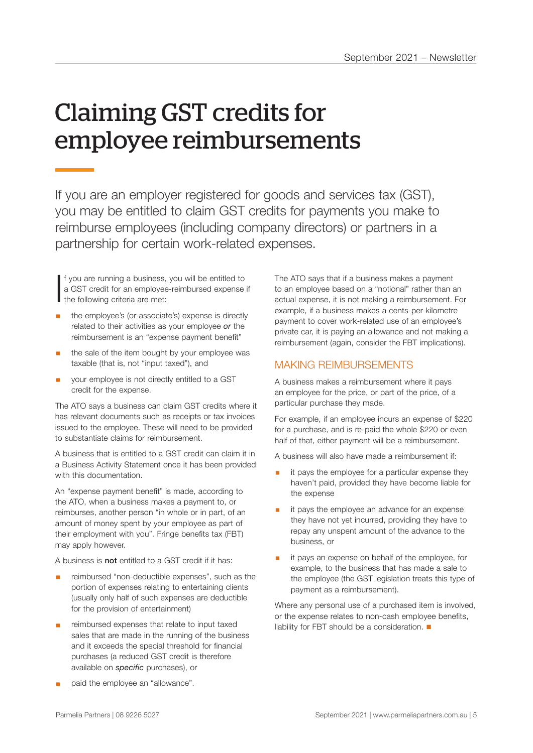# Claiming GST credits for employee reimbursements

If you are an employer registered for goods and services tax (GST), you may be entitled to claim GST credits for payments you make to reimburse employees (including company directors) or partners in a partnership for certain work-related expenses.

If you are running a business,<br>a GST credit for an employee<br>the following criteria are met: f you are running a business, you will be entitled to a GST credit for an employee-reimbursed expense if

- § the employee's (or associate's) expense is directly related to their activities as your employee *or* the reimbursement is an "expense payment benefit"
- the sale of the item bought by your employee was taxable (that is, not "input taxed"), and
- § your employee is not directly entitled to a GST credit for the expense.

The ATO says a business can claim GST credits where it has relevant documents such as receipts or tax invoices issued to the employee. These will need to be provided to substantiate claims for reimbursement.

A business that is entitled to a GST credit can claim it in a Business Activity Statement once it has been provided with this documentation.

An "expense payment benefit" is made, according to the ATO, when a business makes a payment to, or reimburses, another person "in whole or in part, of an amount of money spent by your employee as part of their employment with you". Fringe benefits tax (FBT) may apply however.

A business is not entitled to a GST credit if it has:

- reimbursed "non-deductible expenses", such as the portion of expenses relating to entertaining clients (usually only half of such expenses are deductible for the provision of entertainment)
- reimbursed expenses that relate to input taxed sales that are made in the running of the business and it exceeds the special threshold for financial purchases (a reduced GST credit is therefore available on *specific* purchases), or

The ATO says that if a business makes a payment to an employee based on a "notional" rather than an actual expense, it is not making a reimbursement. For example, if a business makes a cents-per-kilometre payment to cover work-related use of an employee's private car, it is paying an allowance and not making a reimbursement (again, consider the FBT implications).

#### MAKING REIMBURSEMENTS

A business makes a reimbursement where it pays an employee for the price, or part of the price, of a particular purchase they made.

For example, if an employee incurs an expense of \$220 for a purchase, and is re-paid the whole \$220 or even half of that, either payment will be a reimbursement.

A business will also have made a reimbursement if:

- it pays the employee for a particular expense they haven't paid, provided they have become liable for the expense
- it pays the employee an advance for an expense they have not yet incurred, providing they have to repay any unspent amount of the advance to the business, or
- it pays an expense on behalf of the employee, for example, to the business that has made a sale to the employee (the GST legislation treats this type of payment as a reimbursement).

Where any personal use of a purchased item is involved, or the expense relates to non-cash employee benefits, liability for FBT should be a consideration.  $\blacksquare$ 

paid the employee an "allowance".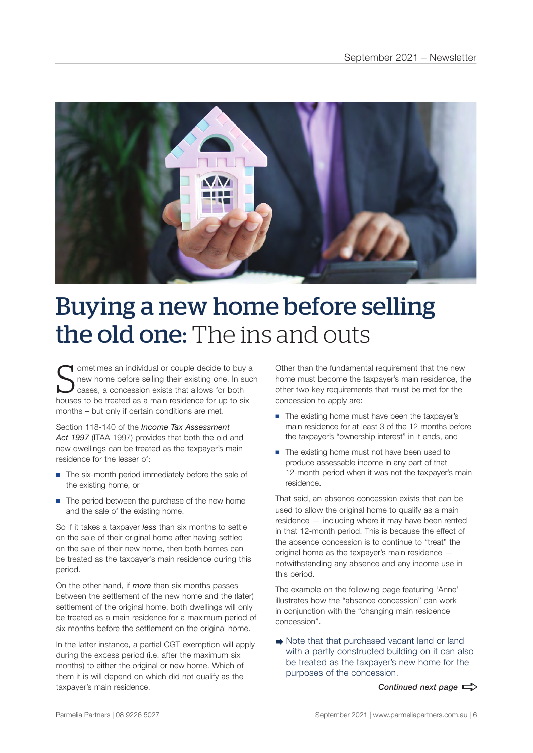

### Buying a new home before selling the old one: The ins and outs

S **T** ometimes an individual or couple decide to buy a new home before selling their existing one. In such cases, a concession exists that allows for both houses to be treated as a main residence for up to six months – but only if certain conditions are met.

Section 118-140 of the *Income Tax Assessment Act 1997* (ITAA 1997) provides that both the old and new dwellings can be treated as the taxpayer's main residence for the lesser of:

- The six-month period immediately before the sale of the existing home, or
- The period between the purchase of the new home and the sale of the existing home.

So if it takes a taxpayer *less* than six months to settle on the sale of their original home after having settled on the sale of their new home, then both homes can be treated as the taxpayer's main residence during this period.

On the other hand, if *more* than six months passes between the settlement of the new home and the (later) settlement of the original home, both dwellings will only be treated as a main residence for a maximum period of six months before the settlement on the original home.

In the latter instance, a partial CGT exemption will apply during the excess period (i.e. after the maximum six months) to either the original or new home. Which of them it is will depend on which did not qualify as the taxpayer's main residence.

Other than the fundamental requirement that the new home must become the taxpayer's main residence, the other two key requirements that must be met for the concession to apply are:

- The existing home must have been the taxpayer's main residence for at least 3 of the 12 months before the taxpayer's "ownership interest" in it ends, and
- The existing home must not have been used to produce assessable income in any part of that 12-month period when it was not the taxpayer's main residence.

That said, an absence concession exists that can be used to allow the original home to qualify as a main residence — including where it may have been rented in that 12-month period. This is because the effect of the absence concession is to continue to "treat" the original home as the taxpayer's main residence notwithstanding any absence and any income use in this period.

The example on the following page featuring 'Anne' illustrates how the "absence concession" can work in conjunction with the "changing main residence concession".

Note that that purchased vacant land or land with a partly constructed building on it can also be treated as the taxpayer's new home for the purposes of the concession.

*Continued next page*  $\Rightarrow$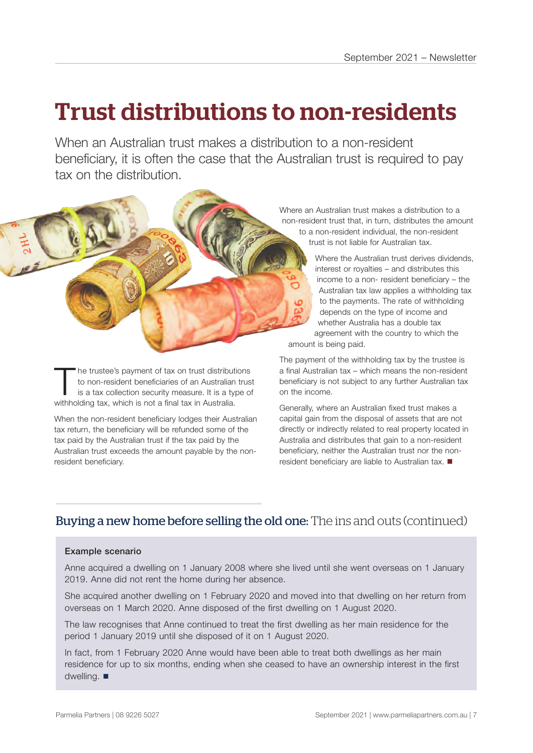### Trust distributions to non‑residents

When an Australian trust makes a distribution to a non-resident beneficiary, it is often the case that the Australian trust is required to pay tax on the distribution.

The trustee's payment of tax on trust distributions<br>to non-resident beneficiaries of an Australian trus<br>is a tax collection security measure. It is a type of<br>withholding toy, which is not a final toy in Australia to non-resident beneficiaries of an Australian trust is a tax collection security measure. It is a type of withholding tax, which is not a final tax in Australia.

When the non-resident beneficiary lodges their Australian tax return, the beneficiary will be refunded some of the tax paid by the Australian trust if the tax paid by the Australian trust exceeds the amount payable by the nonresident beneficiary.

Where an Australian trust makes a distribution to a non-resident trust that, in turn, distributes the amount to a non-resident individual, the non-resident trust is not liable for Australian tax.

> Where the Australian trust derives dividends, interest or royalties – and distributes this income to a non- resident beneficiary – the Australian tax law applies a withholding tax to the payments. The rate of withholding depends on the type of income and whether Australia has a double tax agreement with the country to which the

amount is being paid.

The payment of the withholding tax by the trustee is a final Australian tax – which means the non-resident beneficiary is not subject to any further Australian tax on the income.

Generally, where an Australian fixed trust makes a capital gain from the disposal of assets that are not directly or indirectly related to real property located in Australia and distributes that gain to a non-resident beneficiary, neither the Australian trust nor the nonresident beneficiary are liable to Australian tax.  $\blacksquare$ 

#### Buying a new home before selling the old one: The ins and outs (continued)

#### Example scenario

Anne acquired a dwelling on 1 January 2008 where she lived until she went overseas on 1 January 2019. Anne did not rent the home during her absence.

She acquired another dwelling on 1 February 2020 and moved into that dwelling on her return from overseas on 1 March 2020. Anne disposed of the first dwelling on 1 August 2020.

The law recognises that Anne continued to treat the first dwelling as her main residence for the period 1 January 2019 until she disposed of it on 1 August 2020.

In fact, from 1 February 2020 Anne would have been able to treat both dwellings as her main residence for up to six months, ending when she ceased to have an ownership interest in the first dwelling.  $\blacksquare$